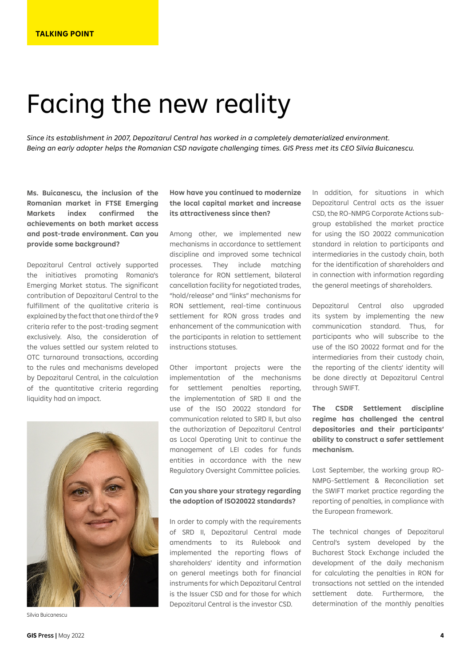## Facing the new reality

*Since its establishment in 2007, Depozitarul Central has worked in a completely dematerialized environment. Being an early adopter helps the Romanian CSD navigate challenging times. GIS Press met its CEO Silvia Buicanescu.* 

**Ms. Buicanescu, the inclusion of the Romanian market in FTSE Emerging Markets index confirmed the achievements on both market access and post-trade environment. Can you provide some background?** 

Depozitarul Central actively supported the initiatives promoting Romania's Emerging Market status. The significant contribution of Depozitarul Central to the fulfillment of the qualitative criteria is explained by the fact that one third of the 9 criteria refer to the post-trading segment exclusively. Also, the consideration of the values settled our system related to OTC turnaround transactions, according to the rules and mechanisms developed by Depozitarul Central, in the calculation of the quantitative criteria regarding liquidity had an impact.



Silvia Buicanescu

## **How have you continued to modernize the local capital market and increase its attractiveness since then?**

Among other, we implemented new mechanisms in accordance to settlement discipline and improved some technical processes. They include matching tolerance for RON settlement, bilateral cancellation facility for negotiated trades, "hold/release" and "links" mechanisms for RON settlement, real-time continuous settlement for RON gross trades and enhancement of the communication with the participants in relation to settlement instructions statuses.

Other important projects were the implementation of the mechanisms for settlement penalties reporting, the implementation of SRD II and the use of the ISO 20022 standard for communication related to SRD II, but also the authorization of Depozitarul Central as Local Operating Unit to continue the management of LEI codes for funds entities in accordance with the new Regulatory Oversight Committee policies.

## **Can you share your strategy regarding the adoption of ISO20022 standards?**

In order to comply with the requirements of SRD II, Depozitarul Central made amendments to its Rulebook and implemented the reporting flows of shareholders' identity and information on general meetings both for financial instruments for which Depozitarul Central is the Issuer CSD and for those for which Depozitarul Central is the investor CSD.

In addition, for situations in which Depozitarul Central acts as the issuer CSD, the RO-NMPG Corporate Actions subgroup established the market practice for using the ISO 20022 communication standard in relation to participants and intermediaries in the custody chain, both for the identification of shareholders and in connection with information regarding the general meetings of shareholders.

Depozitarul Central also upgraded its system by implementing the new communication standard. Thus, for participants who will subscribe to the use of the ISO 20022 format and for the intermediaries from their custody chain, the reporting of the clients' identity will be done directly at Depozitarul Central through SWIFT.

**The CSDR Settlement discipline regime has challenged the central depositories and their participants' ability to construct a safer settlement mechanism.** 

Last September, the working group RO-NMPG-Settlement & Reconciliation set the SWIFT market practice regarding the reporting of penalties, in compliance with the European framework.

The technical changes of Depozitarul Central's system developed by the Bucharest Stock Exchange included the development of the daily mechanism for calculating the penalties in RON for transactions not settled on the intended settlement date. Furthermore, the determination of the monthly penalties